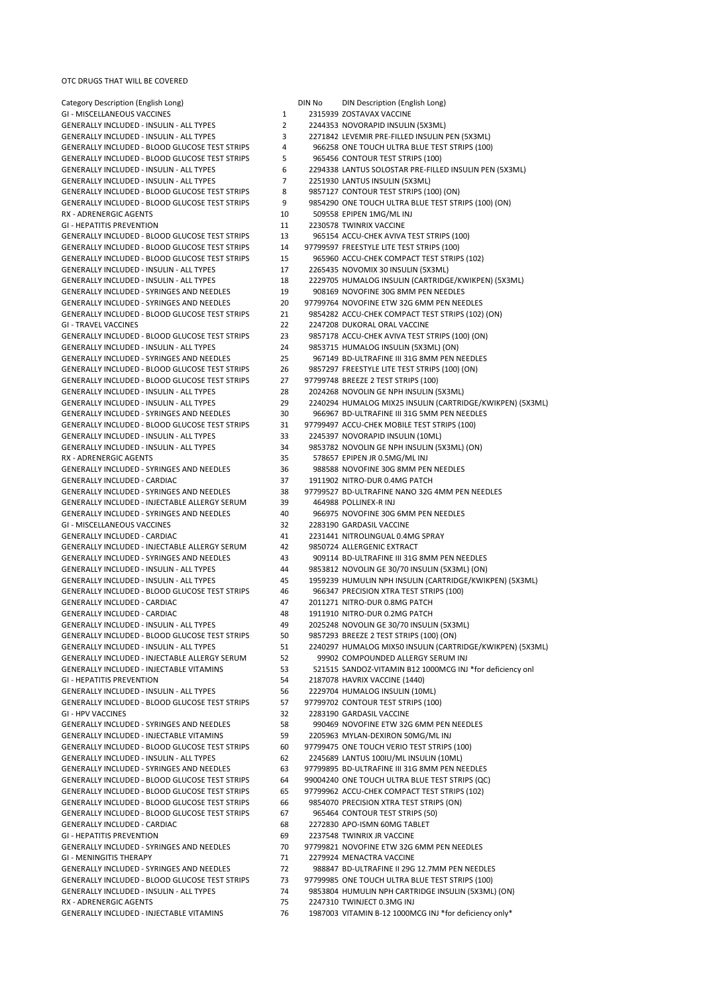Category Description (English Long) DIN No DIN Description (English Long) GI - MISCELLANEOUS VACCINES 2000 1 2315939 ZOSTAVAX VACCINE GENERALLY INCLUDED - INSULIN - ALL TYPES <br>GENERALLY INCLUDED - INSULIN - ALL TYPES 2271842 LEVEMIR PRE-FILLED INSULIN I GENERALLY INCLUDED - BLOOD GLUCOSE TEST STRIPS 5 965456 CONTOUR TEST STRIPS (100) GENERALLY INCLUDED - INSULIN - ALL TYPES 7 2251930 LANTUS INSULIN (5X3ML) GENERALLY INCLUDED - BLOOD GLUCOSE TEST STRIPS 8 9857127 CONTOUR TEST STRIPS (100) (ON) RX - ADRENERGIC AGENTS 10 509558 EPIPEN 1MG/ML INJ GI - HEPATITIS PREVENTION 11 2230578 TWINRIX VACCINE GENERALLY INCLUDED - BLOOD GLUCOSE TEST STRIPS 14 97799597 FREESTYLE LITE TEST STRIPS (100) GENERALLY INCLUDED - INSULIN - ALL TYPES 17 2265435 NOVOMIX 30 INSULIN (5X3ML) GENERALLY INCLUDED - SYRINGES AND NEEDLES 19 908169 NOVOFINE 30G 8MM PEN NEEDLES GI - TRAVEL VACCINES 22 2247208 DUKORAL ORAL VACCINE GENERALLY INCLUDED - INSULIN - ALL TYPES 24 9853715 HUMALOG INSULIN (5X3ML) (ON)<br>GENERALLY INCLUDED - SYRINGES AND NEEDLES 25 967149 BD-ULTRAFINE III 31G 8MM PEN N GENERALLY INCLUDED - BLOOD GLUCOSE TEST STRIPS 27 97799748 BREEZE 2 TEST STRIPS (100) GENERALLY INCLUDED - INSULIN - ALL TYPES 28 2024268 NOVOLIN GE NPH INSULIN (5X3ML) GENERALLY INCLUDED - INSULIN - ALL TYPES 33 2245397 NOVORAPID INSULIN (10ML) RX - ADRENERGIC AGENTS 35 578657 EPIPEN JR 0.5MG/ML INJ GENERALLY INCLUDED - SYRINGES AND NEEDLES 36 988588 NOVOFINE 30G 8MM PEN NEEDLES GENERALLY INCLUDED - CARDIAC 37 1911902 NITRO-DUR 0.4MG PATCH GENERALLY INCLUDED - INJECTABLE ALLERGY SERUM 39 464988 POLLINEX-R INJ GENERALLY INCLUDED - SYRINGES AND NEEDLES 40 966975 NOVOFINE 30G 6MM PEN NEEDLES GI - MISCELLANEOUS VACCINES 32 2283190 GARDASIL VACCINE GENERALLY INCLUDED - CARDIAC 1999 1231 41 2231441 NITROLINGUAL 0.4MG SPRAY<br>GENERALLY INCLUDED - INJECTABLE ALLERGY SERUM 42 9850724 ALLERGENIC EXTRACT GENERALLY INCLUDED - INJECTABLE ALLERGY SERUM GENERALLY INCLUDED - BLOOD GLUCOSE TEST STRIPS 46 966347 PRECISION XTRA TEST STRIPS (100) GENERALLY INCLUDED - CARDIAC 47 2011271 NITRO-DUR 0.8MG PATCH GENERALLY INCLUDED - CARDIAC 48 1911910 NITRO-DUR 0.2MG PATCH GENERALLY INCLUDED - BLOOD GLUCOSE TEST STRIPS 50 9857293 BREEZE 2 TEST STRIPS (100) (ON) GENERALLY INCLUDED - INJECTABLE ALLERGY SERUM 52 99902 COMPOUNDED ALLERGY SERUM INJ GI - HEPATITIS PREVENTION 54 2187078 HAVRIX VACCINE (1440) GENERALLY INCLUDED - INSULIN - ALL TYPES 56 2229704 HUMALOG INSULIN (10ML) GENERALLY INCLUDED - BLOOD GLUCOSE TEST STRIPS 57 97799702 CONTOUR TEST STRIPS (100) GI - HPV VACCINES 32 2283190 GARDASIL VACCINE GENERALLY INCLUDED - INJECTABLE VITAMINS 59 2205963 MYLAN-DEXIRON 50MG/ML INJ GENERALLY INCLUDED - INSULIN - ALL TYPES 62 62 2245689 LANTUS 100IU/ML INSULIN (10ML)<br>GENERALLY INCLUDED - SYRINGES AND NEEDLES 63 97799895 BD-ULTRAFINE III 31G 8MM PEN NI GENERALLY INCLUDED - BLOOD GLUCOSE TEST STRIPS 66 9854070 PRECISION XTRA TEST STRIPS (ON) GENERALLY INCLUDED - BLOOD GLUCOSE TEST STRIPS 67 965464 CONTOUR TEST STRIPS (50) GENERALLY INCLUDED - CARDIAC 68 2272830 APO-ISMN 60MG TABLET GI - MENINGITIS THERAPY **1988 12279924 MENACTRA VACCINE** RX - ADRENERGIC AGENTS 75 2247310 TWINJECT 0.3MG INJ GENERALLY INCLUDED - INJECTABLE VITAMINS 76 76 1987003 VITAMIN B-12 1000MCG INJ \*for deficiency only\*

3 2271842 LEVEMIR PRE-FILLED INSULIN PEN (5X3ML) GENERALLY INCLUDED - BLOOD GLUCOSE TEST STRIPS 4 966258 ONE TOUCH ULTRA BLUE TEST STRIPS (100) GENERALLY INCLUDED - INSULIN - ALL TYPES 6 2294338 LANTUS SOLOSTAR PRE-FILLED INSULIN PEN (5X3ML) GENERALLY INCLUDED - BLOOD GLUCOSE TEST STRIPS 9 9854290 ONE TOUCH ULTRA BLUE TEST STRIPS (100) (ON) GENERALLY INCLUDED - BLOOD GLUCOSE TEST STRIPS 13 965154 ACCU-CHEK AVIVA TEST STRIPS (100) GENERALLY INCLUDED - BLOOD GLUCOSE TEST STRIPS 15 965960 ACCU-CHEK COMPACT TEST STRIPS (102) GENERALLY INCLUDED - INSULIN - ALL TYPES 18 2229705 HUMALOG INSULIN (CARTRIDGE/KWIKPEN) (5X3ML) GENERALLY INCLUDED - SYRINGES AND NEEDLES 20 97799764 NOVOFINE ETW 32G 6MM PEN NEEDLES GENERALLY INCLUDED - BLOOD GLUCOSE TEST STRIPS 21 9854282 ACCU-CHEK COMPACT TEST STRIPS (102) (ON) GENERALLY INCLUDED - BLOOD GLUCOSE TEST STRIPS 23 9857178 ACCU-CHEK AVIVA TEST STRIPS (100) (ON) 967149 BD-ULTRAFINE III 31G 8MM PEN NEEDLES GENERALLY INCLUDED - BLOOD GLUCOSE TEST STRIPS 26 9857297 FREESTYLE LITE TEST STRIPS (100) (ON) GENERALLY INCLUDED - INSULIN - ALL TYPES 29 2240294 HUMALOG MIX25 INSULIN (CARTRIDGE/KWIKPEN) (5X3ML) GENERALLY INCLUDED - SYRINGES AND NEEDLES 30 966967 BD-ULTRAFINE III 31G 5MM PEN NEEDLES GENERALLY INCLUDED - BLOOD GLUCOSE TEST STRIPS 31 97799497 ACCU-CHEK MOBILE TEST STRIPS (100) GENERALLY INCLUDED - INSULIN - ALL TYPES 34 9853782 NOVOLIN GE NPH INSULIN (5X3ML) (ON) GENERALLY INCLUDED - SYRINGES AND NEEDLES 38 97799527 BD-ULTRAFINE NANO 32G 4MM PEN NEEDLES GENERALLY INCLUDED - SYRINGES AND NEEDLES 43 909114 BD-ULTRAFINE III 31G 8MM PEN NEEDLES GENERALLY INCLUDED - INSULIN - ALL TYPES 44 9853812 NOVOLIN GE 30/70 INSULIN (5X3ML) (ON) GENERALLY INCLUDED - INSULIN - ALL TYPES 45 1959239 HUMULIN NPH INSULIN (CARTRIDGE/KWIKPEN) (5X3ML) GENERALLY INCLUDED - INSULIN - ALL TYPES 49 2025248 NOVOLIN GE 30/70 INSULIN (5X3ML) GENERALLY INCLUDED - INSULIN - ALL TYPES 51 2240297 HUMALOG MIX50 INSULIN (CARTRIDGE/KWIKPEN) (5X3ML) GENERALLY INCLUDED - INJECTABLE VITAMINS 53 521515 SANDOZ-VITAMIN B12 1000MCG INJ \*for deficiency onl GENERALLY INCLUDED - SYRINGES AND NEEDLES 58 990469 NOVOFINE ETW 32G 6MM PEN NEEDLES GENERALLY INCLUDED - BLOOD GLUCOSE TEST STRIPS 60 97799475 ONE TOUCH VERIO TEST STRIPS (100) 63 97799895 BD-ULTRAFINE III 31G 8MM PEN NEEDLES GENERALLY INCLUDED - BLOOD GLUCOSE TEST STRIPS 64 99004240 ONE TOUCH ULTRA BLUE TEST STRIPS (QC) GENERALLY INCLUDED - BLOOD GLUCOSE TEST STRIPS 65 97799962 ACCU-CHEK COMPACT TEST STRIPS (102) 2237548 TWINRIX JR VACCINE GENERALLY INCLUDED - SYRINGES AND NEEDLES 70 97799821 NOVOFINE ETW 32G 6MM PEN NEEDLES GENERALLY INCLUDED - SYRINGES AND NEEDLES 72 988847 BD-ULTRAFINE II 29G 12.7MM PEN NEEDLES GENERALLY INCLUDED - BLOOD GLUCOSE TEST STRIPS 73 97799985 ONE TOUCH ULTRA BLUE TEST STRIPS (100) GENERALLY INCLUDED - INSULIN - ALL TYPES 74 9853804 HUMULIN NPH CARTRIDGE INSULIN (5X3ML) (ON)

OTC DRUGS THAT WILL BE COVERED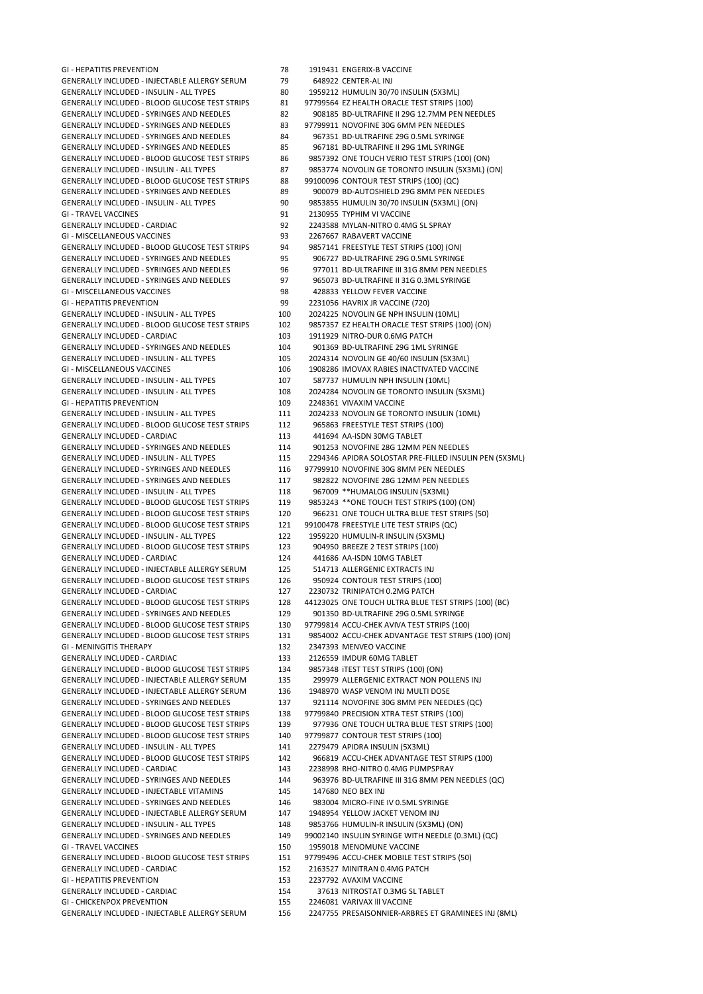GENERALLY INCLUDED - INJECTABLE ALLERGY SERUM 79 648922 CENTER-AL INJ GENERALLY INCLUDED - INSULIN - ALL TYPES 80 1959212 HUMULIN 30/70 INSULIN (5X3ML) GENERALLY INCLUDED - BLOOD GLUCOSE TEST STRIPS 81 97799564 EZ HEALTH ORACLE TEST STRIPS (100) GENERALLY INCLUDED - SYRINGES AND NEEDLES 83 97799911 NOVOFINE 30G 6MM PEN NEEDLES<br>GENERALLY INCLUDED - SYRINGES AND NEEDLES 84 967351 BD-ULTRAFINE 29G 0.5ML SYRINGE GENERALLY INCLUDED - SYRINGES AND NEEDLES 84 GENERALLY INCLUDED - SYRINGES AND NEEDLES 85 967181 BD-ULTRAFINE II 29G 1ML SYRINGE GENERALLY INCLUDED - BLOOD GLUCOSE TEST STRIPS 88 99100096 CONTOUR TEST STRIPS (100) (QC) GENERALLY INCLUDED - INSULIN - ALL TYPES 90 9853855 HUMULIN 30/70 INSULIN (5X3ML) (ON) GI - TRAVEL VACCINES **81 2130955 TYPHIM VI VACCINE** GENERALLY INCLUDED - CARDIAC 92 2243588 MYLAN-NITRO 0.4MG SL SPRAY GI - MISCELLANEOUS VACCINES 93 2267667 RABAVERT VACCINE GENERALLY INCLUDED - BLOOD GLUCOSE TEST STRIPS 94 9857141 FREESTYLE TEST STRIPS (100) (ON) GENERALLY INCLUDED - SYRINGES AND NEEDLES 95 906727 BD-ULTRAFINE 29G 0.5ML SYRINGE GENERALLY INCLUDED - SYRINGES AND NEEDLES 97 965073 BD-ULTRAFINE II 31G 0.3ML SYRINGE GI - MISCELLANEOUS VACCINES 61 - MISCELLANEOUS VACCINES GI - HEPATITIS PREVENTION 99 2231056 HAVRIX JR VACCINE (720) GENERALLY INCLUDED - INSULIN - ALL TYPES 100 2024225 NOVOLIN GE NPH INSULIN (10ML) GENERALLY INCLUDED - CARDIAC  $103$  1911929 NITRO-DUR 0.6MG PATCH GENERALLY INCLUDED - SYRINGES AND NEEDLES 104 901369 BD-ULTRAFINE 29G 1ML SYRINGE<br>105 2024314 NOVOLIN GE 40/60 INSULIN (5X31 GENERALLY INCLUDED - INSULIN - ALL TYPES 105 2024314 NOVOLIN GE 40/60 INSULIN (5X3ML) GI - MISCELLANEOUS VACCINES 106 1908286 IMOVAX RABIES INACTIVATED VACCINE GENERALLY INCLUDED - INSULIN - ALL TYPES 107 587737 HUMULIN NPH INSULIN (10ML) GI - HEPATITIS PREVENTION 109 2248361 VIVAXIM VACCINE GENERALLY INCLUDED - INSULIN - ALL TYPES 111 2024233 NOVOLIN GE TORONTO INSULIN (10ML) GENERALLY INCLUDED - BLOOD GLUCOSE TEST STRIPS 112 965863 FREESTYLE TEST STRIPS (100) GENERALLY INCLUDED - CARDIAC 113 441694 AA-ISDN 30MG TABLET GENERALLY INCLUDED - SYRINGES AND NEEDLES 114 901253 NOVOFINE 28G 12MM PEN NEEDLES GENERALLY INCLUDED - SYRINGES AND NEEDLES 116 97799910 NOVOFINE 30G 8MM PEN NEEDLES GENERALLY INCLUDED - SYRINGES AND NEEDLES 117 982822 NOVOFINE 28G 12MM PEN NEEDLES GENERALLY INCLUDED - INSULIN - ALL TYPES 118 967009 \*\*HUMALOG INSULIN (5X3ML) GENERALLY INCLUDED - BLOOD GLUCOSE TEST STRIPS 119 9853243 \*\*ONE TOUCH TEST STRIPS (100) (ON) GENERALLY INCLUDED - BLOOD GLUCOSE TEST STRIPS 121 99100478 FREESTYLE LITE TEST STRIPS (QC) GENERALLY INCLUDED - INSULIN - ALL TYPES 122 1959220 HUMULIN-R INSULIN (5X3ML)<br>GENERALLY INCLUDED - BLOOD GLUCOSE TEST STRIPS 123 904950 BREEZE 2 TEST STRIPS (100) GENERALLY INCLUDED - BLOOD GLUCOSE TEST STRIPS GENERALLY INCLUDED - CARDIAC 124 441686 AA-ISDN 10MG TABLET GENERALLY INCLUDED - INJECTABLE ALLERGY SERUM 125 514713 ALLERGENIC EXTRACTS INJ GENERALLY INCLUDED - BLOOD GLUCOSE TEST STRIPS 126 950924 CONTOUR TEST STRIPS (100) GENERALLY INCLUDED - CARDIAC 127 2230732 TRINIPATCH 0.2MG PATCH GENERALLY INCLUDED - SYRINGES AND NEEDLES 129 901350 BD-ULTRAFINE 29G 0.5ML SYRINGE GENERALLY INCLUDED - BLOOD GLUCOSE TEST STRIPS 130 97799814 ACCU-CHEK AVIVA TEST STRIPS (100) GI - MENINGITIS THERAPY 132 2347393 MENVEO VACCINE GENERALLY INCLUDED - CARDIAC 133 2126559 IMDUR 60MG TABLET GENERALLY INCLUDED - BLOOD GLUCOSE TEST STRIPS 134 9857348 iTEST TEST STRIPS (100) (ON) GENERALLY INCLUDED - INJECTABLE ALLERGY SERUM 135 299979 ALLERGENIC EXTRACT NON POLLENS INJ GENERALLY INCLUDED - INJECTABLE ALLERGY SERUM 136 1948970 WASP VENOM INJ MULTI DOSE GENERALLY INCLUDED - SYRINGES AND NEEDLES 137 921114 NOVOFINE 30G 8MM PEN NEEDLES (QC) GENERALLY INCLUDED - BLOOD GLUCOSE TEST STRIPS 138 97799840 PRECISION XTRA TEST STRIPS (100) GENERALLY INCLUDED - BLOOD GLUCOSE TEST STRIPS 140 97799877 CONTOUR TEST STRIPS (100) GENERALLY INCLUDED - INSULIN - ALL TYPES 141 2279479 APIDRA INSULIN (5X3ML) GENERALLY INCLUDED - INJECTABLE VITAMINS 145 147680 NEO BEX INJ GENERALLY INCLUDED - SYRINGES AND NEEDLES 146 983004 MICRO-FINE IV 0.5ML SYRINGE GENERALLY INCLUDED - INJECTABLE ALLERGY SERUM 147 1948954 YELLOW JACKET VENOM INJ GENERALLY INCLUDED - INSULIN - ALL TYPES 148 9853766 HUMULIN-R INSULIN (5X3ML) (ON) GI - TRAVEL VACCINES **150 1959018** MENOMUNE VACCINE GENERALLY INCLUDED - BLOOD GLUCOSE TEST STRIPS 151 97799496 ACCU-CHEK MOBILE TEST STRIPS (50) GENERALLY INCLUDED - CARDIAC 152 2163527 MINITRAN 0.4MG PATCH GI - HEPATITIS PREVENTION 153 2237792 AVAXIM VACCINE GENERALLY INCLUDED - CARDIAC 154 37613 NITROSTAT 0.3MG SL TABLET GI - CHICKENPOX PREVENTION 155 2246081 VARIVAX lll VACCINE GENERALLY INCLUDED - INJECTABLE ALLERGY SERUM 156 2247755 PRESAISONNIER-ARBRES ET GRAMINEES INJ (8ML)

GI - HEPATITIS PREVENTION 78 1919431 ENGERIX-B VACCINE GENERALLY INCLUDED - SYRINGES AND NEEDLES 82 908185 BD-ULTRAFINE II 29G 12.7MM PEN NEEDLES GENERALLY INCLUDED - BLOOD GLUCOSE TEST STRIPS 86 9857392 ONE TOUCH VERIO TEST STRIPS (100) (ON) GENERALLY INCLUDED - INSULIN - ALL TYPES 87 9853774 NOVOLIN GE TORONTO INSULIN (5X3ML) (ON) GENERALLY INCLUDED - SYRINGES AND NEEDLES 89 900079 BD-AUTOSHIELD 29G 8MM PEN NEEDLES GENERALLY INCLUDED - SYRINGES AND NEEDLES 96 977011 BD-ULTRAFINE III 31G 8MM PEN NEEDLES GENERALLY INCLUDED - BLOOD GLUCOSE TEST STRIPS 102 9857357 EZ HEALTH ORACLE TEST STRIPS (100) (ON) GENERALLY INCLUDED - INSULIN - ALL TYPES 108 2024284 NOVOLIN GE TORONTO INSULIN (5X3ML) GENERALLY INCLUDED - INSULIN - ALL TYPES 115 2294346 APIDRA SOLOSTAR PRE-FILLED INSULIN PEN (5X3ML) GENERALLY INCLUDED - BLOOD GLUCOSE TEST STRIPS 120 966231 ONE TOUCH ULTRA BLUE TEST STRIPS (50) GENERALLY INCLUDED - BLOOD GLUCOSE TEST STRIPS 128 44123025 ONE TOUCH ULTRA BLUE TEST STRIPS (100) (BC) GENERALLY INCLUDED - BLOOD GLUCOSE TEST STRIPS 131 9854002 ACCU-CHEK ADVANTAGE TEST STRIPS (100) (ON) GENERALLY INCLUDED - BLOOD GLUCOSE TEST STRIPS 139 977936 ONE TOUCH ULTRA BLUE TEST STRIPS (100) GENERALLY INCLUDED - BLOOD GLUCOSE TEST STRIPS 142 966819 ACCU-CHEK ADVANTAGE TEST STRIPS (100)<br>GENERALLY INCLUDED - CARDIAC 143 2238998 RHO-NITRO 0.4MG PUMPSPRAY 2238998 RHO-NITRO 0.4MG PUMPSPRAY GENERALLY INCLUDED - SYRINGES AND NEEDLES 144 963976 BD-ULTRAFINE III 31G 8MM PEN NEEDLES (QC) GENERALLY INCLUDED - SYRINGES AND NEEDLES 149 99002140 INSULIN SYRINGE WITH NEEDLE (0.3ML) (QC)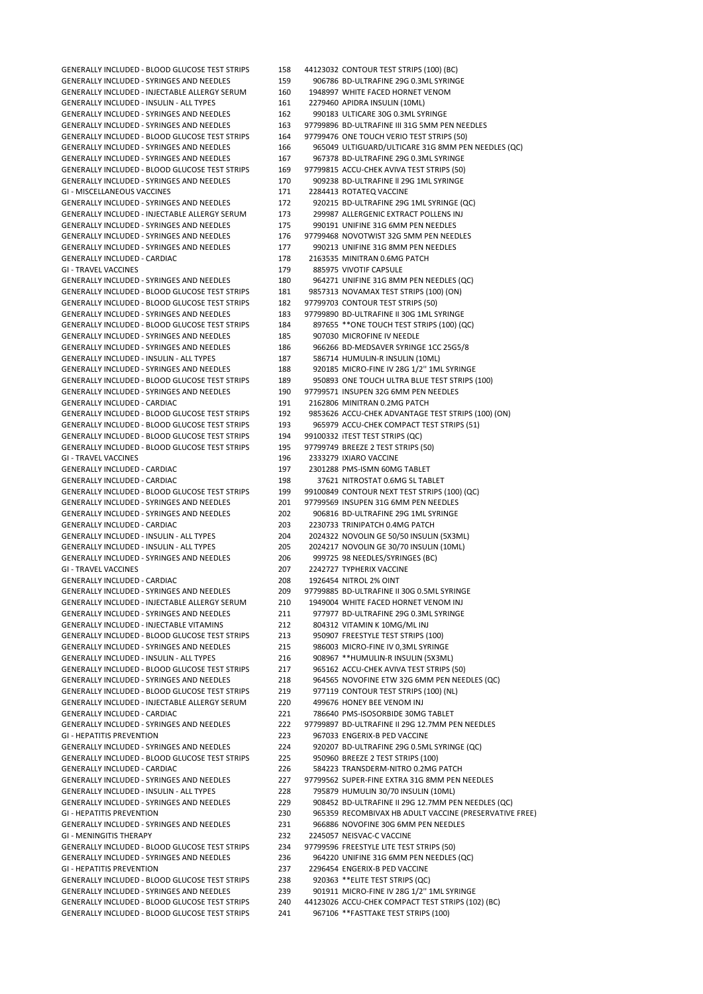GENERALLY INCLUDED - SYRINGES AND NEEDLES 159 906786 BD-ULTRAFINE 29G 0.3ML SYRINGE GENERALLY INCLUDED - INJECTABLE ALLERGY SERUM 160 1948997 WHITE FACED HORNET VENOM GENERALLY INCLUDED - INSULIN - ALL TYPES 161 2279460 APIDRA INSULIN (10ML) GENERALLY INCLUDED - SYRINGES AND NEEDLES 162 990183 ULTICARE 30G 0.3ML SYRINGE GENERALLY INCLUDED - BLOOD GLUCOSE TEST STRIPS 164 GENERALLY INCLUDED - SYRINGES AND NEEDLES 167 967378 BD-ULTRAFINE 29G 0.3ML SYRINGE GENERALLY INCLUDED - BLOOD GLUCOSE TEST STRIPS 169 97799815 ACCU-CHEK AVIVA TEST STRIPS (50) GENERALLY INCLUDED - SYRINGES AND NEEDLES 170 909238 BD-ULTRAFINE II 29G 1ML SYRINGE GI - MISCELLANEOUS VACCINES 171 2284413 ROTATEO VACCINE GENERALLY INCLUDED - SYRINGES AND NEEDLES 172 920215 BD-ULTRAFINE 29G 1ML SYRINGE (QC) GENERALLY INCLUDED - INJECTABLE ALLERGY SERUM 173 299987 ALLERGENIC EXTRACT POLLENS INJ GENERALLY INCLUDED - SYRINGES AND NEEDLES 175 990191 UNIFINE 31G 6MM PEN NEEDLES GENERALLY INCLUDED - SYRINGES AND NEEDLES 176 97799468 NOVOTWIST 32G 5MM PEN NEEDLES GENERALLY INCLUDED - SYRINGES AND NEEDLES 177 990213 UNIFINE 31G 8MM PEN NEEDLES GENERALLY INCLUDED - CARDIAC 178 2163535 MINITRAN 0.6MG PATCH GI - TRAVEL VACCINES 179 885975 VIVOTIF CAPSULE GENERALLY INCLUDED - SYRINGES AND NEEDLES 180 964271 UNIFINE 31G 8MM PEN NEEDLES (QC) GENERALLY INCLUDED - BLOOD GLUCOSE TEST STRIPS 181 9857313 NOVAMAX TEST STRIPS (100) (ON) GENERALLY INCLUDED - BLOOD GLUCOSE TEST STRIPS 182 97799703 CONTOUR TEST STRIPS (50) GENERALLY INCLUDED - SYRINGES AND NEEDLES 183 97799890 BD-ULTRAFINE II 30G 1ML SYRINGE GENERALLY INCLUDED - BLOOD GLUCOSE TEST STRIPS 184 897655 \*\* ONE TOUCH TEST STRIPS (100) (QC) GENERALLY INCLUDED - SYRINGES AND NEEDLES 185 907030 MICROFINE IV NEEDLE GENERALLY INCLUDED - SYRINGES AND NEEDLES 186 966266 BD-MEDSAVER SYRINGE 1CC 25G5/8<br>187 586714 HUMULIN-RINGEN INSULIN - ALL TYPES 187 586714 HUMULIN-R INSULIN (10ML) GENERALLY INCLUDED - INSULIN - ALL TYPES 187 586714 HUMULIN-R INSULIN (10ML) GENERALLY INCLUDED - BLOOD GLUCOSE TEST STRIPS 189 GENERALLY INCLUDED - SYRINGES AND NEEDLES 190 97799571 INSUPEN 32G 6MM PEN NEEDLES GENERALLY INCLUDED - CARDIAC 191 2162806 MINITRAN 0.2MG PATCH GENERALLY INCLUDED - BLOOD GLUCOSE TEST STRIPS 193 965979 ACCU-CHEK COMPACT TEST STRIPS (51) GENERALLY INCLUDED - BLOOD GLUCOSE TEST STRIPS 194 99100332 iTEST TEST STRIPS (QC) GENERALLY INCLUDED - BLOOD GLUCOSE TEST STRIPS 195 97799749 BREEZE 2 TEST STRIPS (50) GI - TRAVEL VACCINES 196 2333279 IXIARO VACCINE GENERALLY INCLUDED - CARDIAC 197 2301288 PMS-ISMN 60MG TABLET GENERALLY INCLUDED - CARDIAC 198 37621 NITROSTAT 0.6MG SL TABLET GENERALLY INCLUDED - BLOOD GLUCOSE TEST STRIPS 199 99100849 CONTOUR NEXT TEST STRIPS (100) (QC) GENERALLY INCLUDED - SYRINGES AND NEEDLES 201 97799569 INSUPEN 31G 6MM PEN NEEDLES GENERALLY INCLUDED - SYRINGES AND NEEDLES 202 906816 BD-ULTRAFINE 29G 1ML SYRINGE GENERALLY INCLUDED - CARDIAC 203 2230733 TRINIPATCH 0.4MG PATCH GENERALLY INCLUDED - INSULIN - ALL TYPES <br>GENERALLY INCLUDED - INSULIN - ALL TYPES 205 2024217 NOVOLIN GE 30/70 INSULIN (10ML) GENERALLY INCLUDED - SYRINGES AND NEEDLES 206 999725 98 NEEDLES/SYRINGES (BC) GI - TRAVEL VACCINES **207 2242727 TYPHERIX VACCINE** GENERALLY INCLUDED - CARDIAC 208 1926454 NITROL 2% OINT GENERALLY INCLUDED - SYRINGES AND NEEDLES 209 97799885 BD-ULTRAFINE II 30G 0.5ML SYRINGE GENERALLY INCLUDED - INJECTABLE ALLERGY SERUM 210 1949004 WHITE FACED HORNET VENOM INJ GENERALLY INCLUDED - SYRINGES AND NEEDLES 211 977977 BD-ULTRAFINE 29G 0.3ML SYRINGE GENERALLY INCLUDED - INJECTABLE VITAMINS 212 804312 VITAMIN K 10MG/ML INJ GENERALLY INCLUDED - BLOOD GLUCOSE TEST STRIPS 213 950907 FREESTYLE TEST STRIPS (100) GENERALLY INCLUDED - SYRINGES AND NEEDLES 215 986003 MICRO-FINE IV 0,3ML SYRINGE GENERALLY INCLUDED - INSULIN - ALL TYPES 216 908967 \*\*HUMULIN-R INSULIN (5X3ML) GENERALLY INCLUDED - BLOOD GLUCOSE TEST STRIPS 217 965162 ACCU-CHEK AVIVA TEST STRIPS (50) GENERALLY INCLUDED - BLOOD GLUCOSE TEST STRIPS 219 977119 CONTOUR TEST STRIPS (100) (NL) GENERALLY INCLUDED - INJECTABLE ALLERGY SERUM 220 499676 HONEY BEE VENOM INJ GENERALLY INCLUDED - CARDIAC 221 786640 PMS-ISOSORBIDE 30MG TABLET GI - HEPATITIS PREVENTION 223 967033 ENGERIX-B PED VACCINE GENERALLY INCLUDED - BLOOD GLUCOSE TEST STRIPS 225 950960 BREEZE 2 TEST STRIPS (100)<br>GENERALLY INCLUDED - CARDIAC 200 226 584223 TRANSDERM-NITRO 0.2MG GENERALLY INCLUDED - INSULIN - ALL TYPES 228 795879 HUMULIN 30/70 INSULIN (10ML) GENERALLY INCLUDED - SYRINGES AND NEEDLES 231 966886 NOVOFINE 30G 6MM PEN NEEDLES GI - MENINGITIS THERAPY 232 2245057 NEISVAC-C VACCINE GENERALLY INCLUDED - BLOOD GLUCOSE TEST STRIPS 234 97799596 FREESTYLE LITE TEST STRIPS (50) GENERALLY INCLUDED - SYRINGES AND NEEDLES 236 964220 UNIFINE 31G 6MM PEN NEEDLES (QC) GI - HEPATITIS PREVENTION 237 2296454 ENGERIX-B PED VACCINE GENERALLY INCLUDED - BLOOD GLUCOSE TEST STRIPS 238 920363 \*\*ELITE TEST STRIPS (QC) GENERALLY INCLUDED - SYRINGES AND NEEDLES 239 901911 MICRO-FINE IV 28G 1/2'' 1ML SYRINGE GENERALLY INCLUDED - BLOOD GLUCOSE TEST STRIPS 240 44123026 ACCU-CHEK COMPACT TEST STRIPS (102) (BC) GENERALLY INCLUDED - BLOOD GLUCOSE TEST STRIPS 241 967106 \*\*FASTTAKE TEST STRIPS (100)

GENERALLY INCLUDED - BLOOD GLUCOSE TEST STRIPS 158 44123032 CONTOUR TEST STRIPS (100) (BC) GENERALLY INCLUDED - SYRINGES AND NEEDLES 163 97799896 BD-ULTRAFINE III 31G 5MM PEN NEEDLES<br>GENERALLY INCLUDED - BLOOD GLUCOSE TEST STRIPS 164 97799476 ONE TOUCH VERIO TEST STRIPS (50) GENERALLY INCLUDED - SYRINGES AND NEEDLES 166 965049 ULTIGUARD/ULTICARE 31G 8MM PEN NEEDLES (QC) GENERALLY INCLUDED - SYRINGES AND NEEDLES 188 920185 MICRO-FINE IV 28G 1/2" 1ML SYRINGE<br>GENERALLY INCLUDED - BLOOD GLUCOSE TEST STRIPS 189 950893 ONE TOUCH ULTRA BLUE TEST STRIPS (100) GENERALLY INCLUDED - BLOOD GLUCOSE TEST STRIPS 192 9853626 ACCU-CHEK ADVANTAGE TEST STRIPS (100) (ON) 2024217 NOVOLIN GE 30/70 INSULIN (10ML) GENERALLY INCLUDED - SYRINGES AND NEEDLES 218 964565 NOVOFINE ETW 32G 6MM PEN NEEDLES (QC) GENERALLY INCLUDED - SYRINGES AND NEEDLES 222 97799897 BD-ULTRAFINE II 29G 12.7MM PEN NEEDLES GENERALLY INCLUDED - SYRINGES AND NEEDLES 224 920207 BD-ULTRAFINE 29G 0.5ML SYRINGE (QC) 584223 TRANSDERM-NITRO 0.2MG PATCH GENERALLY INCLUDED - SYRINGES AND NEEDLES 227 97799562 SUPER-FINE EXTRA 31G 8MM PEN NEEDLES GENERALLY INCLUDED - SYRINGES AND NEEDLES 229 908452 BD-ULTRAFINE II 29G 12.7MM PEN NEEDLES (QC) GI - HEPATITIS PREVENTION 230 965359 RECOMBIVAX HB ADULT VACCINE (PRESERVATIVE FREE)